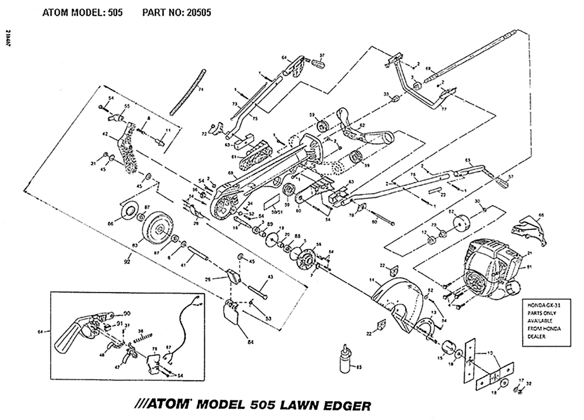

///ATOM MODEL 505 LAWN EDGER